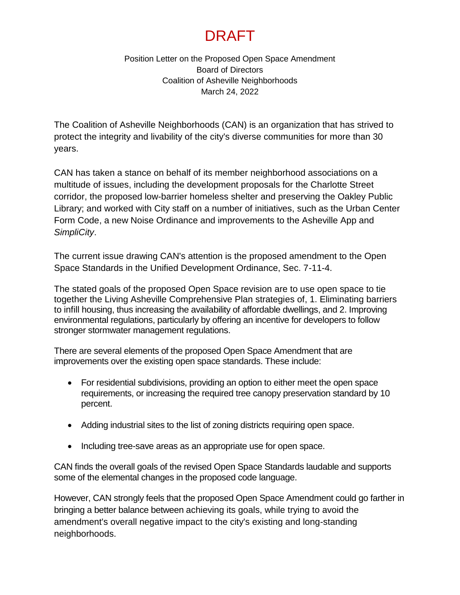## DRAFT

Position Letter on the Proposed Open Space Amendment Board of Directors Coalition of Asheville Neighborhoods March 24, 2022

The Coalition of Asheville Neighborhoods (CAN) is an organization that has strived to protect the integrity and livability of the city's diverse communities for more than 30 years.

CAN has taken a stance on behalf of its member neighborhood associations on a multitude of issues, including the development proposals for the Charlotte Street corridor, the proposed low-barrier homeless shelter and preserving the Oakley Public Library; and worked with City staff on a number of initiatives, such as the Urban Center Form Code, a new Noise Ordinance and improvements to the Asheville App and *SimpliCity*.

The current issue drawing CAN's attention is the proposed amendment to the Open Space Standards in the Unified Development Ordinance, Sec. 7-11-4.

The stated goals of the proposed Open Space revision are to use open space to tie together the Living Asheville Comprehensive Plan strategies of, 1. Eliminating barriers to infill housing, thus increasing the availability of affordable dwellings, and 2. Improving environmental regulations, particularly by offering an incentive for developers to follow stronger stormwater management regulations.

There are several elements of the proposed Open Space Amendment that are improvements over the existing open space standards. These include:

- For residential subdivisions, providing an option to either meet the open space requirements, or increasing the required tree canopy preservation standard by 10 percent.
- Adding industrial sites to the list of zoning districts requiring open space.
- Including tree-save areas as an appropriate use for open space.

CAN finds the overall goals of the revised Open Space Standards laudable and supports some of the elemental changes in the proposed code language.

However, CAN strongly feels that the proposed Open Space Amendment could go farther in bringing a better balance between achieving its goals, while trying to avoid the amendment's overall negative impact to the city's existing and long-standing neighborhoods.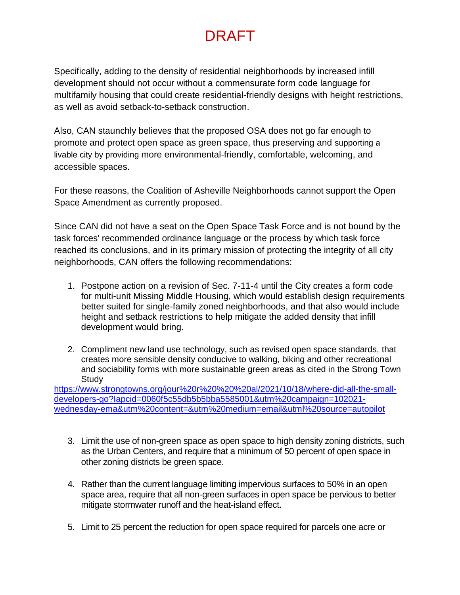## DRAFT

Specifically, adding to the density of residential neighborhoods by increased infill development should not occur without a commensurate form code language for multifamily housing that could create residential-friendly designs with height restrictions, as well as avoid setback-to-setback construction.

Also, CAN staunchly believes that the proposed OSA does not go far enough to promote and protect open space as green space, thus preserving and supporting a livable city by providing more environmental-friendly, comfortable, welcoming, and accessible spaces.

For these reasons, the Coalition of Asheville Neighborhoods cannot support the Open Space Amendment as currently proposed.

Since CAN did not have a seat on the Open Space Task Force and is not bound by the task forces' recommended ordinance language or the process by which task force reached its conclusions, and in its primary mission of protecting the integrity of all city neighborhoods, CAN offers the following recommendations:

- 1. Postpone action on a revision of Sec. 7-11-4 until the City creates a form code for multi-unit Missing Middle Housing, which would establish design requirements better suited for single-family zoned neighborhoods, and that also would include height and setback restrictions to help mitigate the added density that infill development would bring.
- 2. Compliment new land use technology, such as revised open space standards, that creates more sensible density conducive to walking, biking and other recreational and sociability forms with more sustainable green areas as cited in the Strong Town **Study**

[https://www.strongtowns.org/jour%20r%20%20%20al/2021/10/18/where-did-all-the-small](https://www.strongtowns.org/jour%20r%20%20%20al/2021/10/18/where-did-all-the-small-developers-go?Iapcid=0060f5c55db5b5bba5585001&utm%20campaign=102021-wednesday-ema&utm%20content=&utm%20medium=email&utml%20source=autopilot)[developers-go?Iapcid=0060f5c55db5b5bba5585001&utm%20campaign=102021](https://www.strongtowns.org/jour%20r%20%20%20al/2021/10/18/where-did-all-the-small-developers-go?Iapcid=0060f5c55db5b5bba5585001&utm%20campaign=102021-wednesday-ema&utm%20content=&utm%20medium=email&utml%20source=autopilot) [wednesday-ema&utm%20content=&utm%20medium=email&utml%20source=autopilot](https://www.strongtowns.org/jour%20r%20%20%20al/2021/10/18/where-did-all-the-small-developers-go?Iapcid=0060f5c55db5b5bba5585001&utm%20campaign=102021-wednesday-ema&utm%20content=&utm%20medium=email&utml%20source=autopilot)

- 3. Limit the use of non-green space as open space to high density zoning districts, such as the Urban Centers, and require that a minimum of 50 percent of open space in other zoning districts be green space.
- 4. Rather than the current language limiting impervious surfaces to 50% in an open space area, require that all non-green surfaces in open space be pervious to better mitigate stormwater runoff and the heat-island effect.
- 5. Limit to 25 percent the reduction for open space required for parcels one acre or